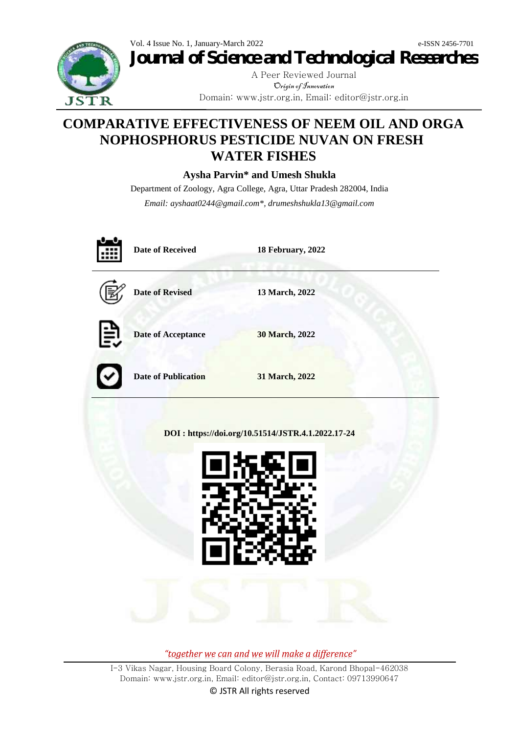Vol. 4 Issue No. 1, January-March 2022 e-ISSN 2456-7701 **Journal of Science and Technological Researches**



A Peer Reviewed Journal Origin of Innovation Domain: www.jstr.org.in, Email: editor@jstr.org.in

# **COMPARATIVE EFFECTIVENESS OF NEEM OIL AND ORGA NOPHOSPHORUS PESTICIDE NUVAN ON FRESH WATER FISHES**

**Aysha Parvin\* and Umesh Shukla**

Department of Zoology, Agra College, Agra, Uttar Pradesh 282004, India *Email: ayshaat0244@gmail.com\*, drumeshshukla13@gmail.com*



**DOI : https://doi.org/10.51514/JSTR.4.1.2022.17-24**



*"together we can and we will make a difference"*

I-3 Vikas Nagar, Housing Board Colony, Berasia Road, Karond Bhopal-462038 Domain: www.jstr.org.in, Email: editor@jstr.org.in, Contact: 09713990647

© JSTR All rights reserved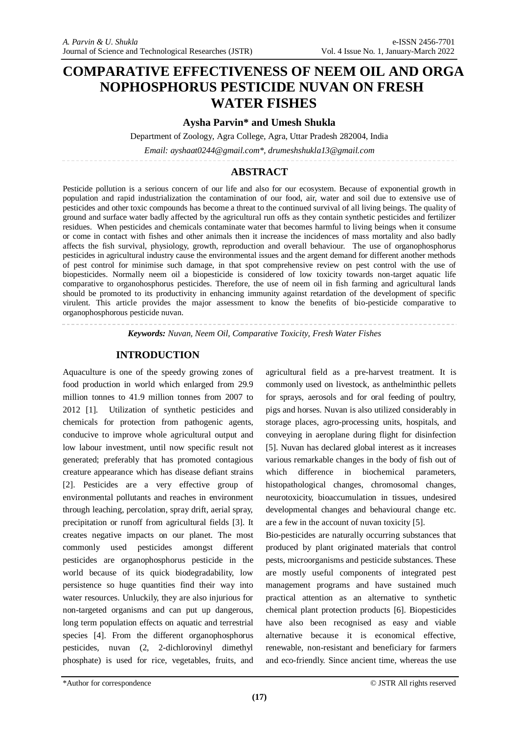# **COMPARATIVE EFFECTIVENESS OF NEEM OIL AND ORGA NOPHOSPHORUS PESTICIDE NUVAN ON FRESH WATER FISHES**

**Aysha Parvin\* and Umesh Shukla**

Department of Zoology, Agra College, Agra, Uttar Pradesh 282004, India *Email: ayshaat0244@gmail.com\*, drumeshshukla13@gmail.com*

## **ABSTRACT**

Pesticide pollution is a serious concern of our life and also for our ecosystem. Because of exponential growth in population and rapid industrialization the contamination of our food, air, water and soil due to extensive use of pesticides and other toxic compounds has become a threat to the continued survival of all living beings. The quality of ground and surface water badly affected by the agricultural run offs as they contain synthetic pesticides and fertilizer residues. When pesticides and chemicals contaminate water that becomes harmful to living beings when it consume or come in contact with fishes and other animals then it increase the incidences of mass mortality and also badly affects the fish survival, physiology, growth, reproduction and overall behaviour. The use of organophosphorus pesticides in agricultural industry cause the environmental issues and the argent demand for different another methods of pest control for minimise such damage, in that spot comprehensive review on pest control with the use of biopesticides. Normally neem oil a biopesticide is considered of low toxicity towards non-target aquatic life comparative to organohosphorus pesticides. Therefore, the use of neem oil in fish farming and agricultural lands should be promoted to its productivity in enhancing immunity against retardation of the development of specific virulent. This article provides the major assessment to know the benefits of bio-pesticide comparative to organophosphorous pesticide nuvan.

*Keywords: Nuvan, Neem Oil, Comparative Toxicity, Fresh Water Fishes*

#### **INTRODUCTION**

Aquaculture is one of the speedy growing zones of food production in world which enlarged from 29.9 million tonnes to 41.9 million tonnes from 2007 to 2012 [1]. Utilization of synthetic pesticides and chemicals for protection from pathogenic agents, conducive to improve whole agricultural output and low labour investment, until now specific result not generated; preferably that has promoted contagious creature appearance which has disease defiant strains [2]. Pesticides are a very effective group of environmental pollutants and reaches in environment through leaching, percolation, spray drift, aerial spray, precipitation or runoff from agricultural fields [3]. It creates negative impacts on our planet. The most commonly used pesticides amongst different pesticides are organophosphorus pesticide in the world because of its quick biodegradability, low persistence so huge quantities find their way into water resources. Unluckily, they are also injurious for non-targeted organisms and can put up dangerous, long term population effects on aquatic and terrestrial species [4]. From the different organophosphorus pesticides, nuvan (2, 2-dichlorovinyl dimethyl phosphate) is used for rice, vegetables, fruits, and

agricultural field as a pre-harvest treatment. It is commonly used on livestock, as anthelminthic pellets for sprays, aerosols and for oral feeding of poultry, pigs and horses. Nuvan is also utilized considerably in storage places, agro-processing units, hospitals, and conveying in aeroplane during flight for disinfection [5]. Nuvan has declared global interest as it increases various remarkable changes in the body of fish out of which difference in biochemical parameters, histopathological changes, chromosomal changes, neurotoxicity, bioaccumulation in tissues, undesired developmental changes and behavioural change etc. are a few in the account of nuvan toxicity [5].

Bio-pesticides are naturally occurring substances that produced by plant originated materials that control pests, microorganisms and pesticide substances. These are mostly useful components of integrated pest management programs and have sustained much practical attention as an alternative to synthetic chemical plant protection products [6]. Biopesticides have also been recognised as easy and viable alternative because it is economical effective, renewable, non-resistant and beneficiary for farmers and eco-friendly. Since ancient time, whereas the use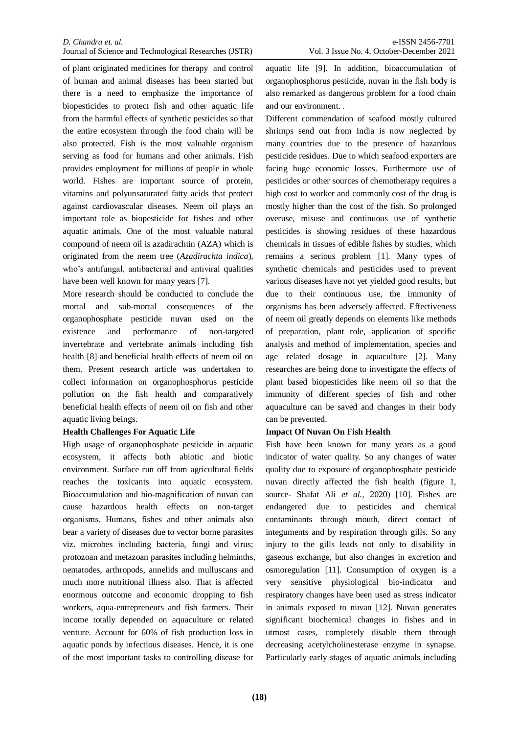of plant originated medicines for therapy and control of human and animal diseases has been started but there is a need to emphasize the importance of biopesticides to protect fish and other aquatic life from the harmful effects of synthetic pesticides so that the entire ecosystem through the food chain will be also protected. Fish is the most valuable organism serving as food for humans and other animals. Fish provides employment for millions of people in whole world. Fishes are important source of protein, vitamins and polyunsaturated fatty acids that protect against cardiovascular diseases. Neem oil plays an important role as biopesticide for fishes and other aquatic animals. One of the most valuable natural compound of neem oil is azadirachtin (AZA) which is originated from the neem tree (*Azadirachta indica*), who's antifungal, antibacterial and antiviral qualities have been well known for many years [7].

More research should be conducted to conclude the mortal and sub-mortal consequences of the organophosphate pesticide nuvan used on the existence and performance of non-targeted invertebrate and vertebrate animals including fish health [8] and beneficial health effects of neem oil on them. Present research article was undertaken to collect information on organophosphorus pesticide pollution on the fish health and comparatively beneficial health effects of neem oil on fish and other aquatic living beings.

#### **Health Challenges For Aquatic Life**

High usage of organophosphate pesticide in aquatic ecosystem, it affects both abiotic and biotic environment. Surface run off from agricultural fields reaches the toxicants into aquatic ecosystem. Bioaccumulation and bio-magnification of nuvan can cause hazardous health effects on non-target organisms. Humans, fishes and other animals also bear a variety of diseases due to vector borne parasites viz. microbes including bacteria, fungi and virus; protozoan and metazoan parasites including helminths, nematodes, arthropods, annelids and mulluscans and much more nutritional illness also. That is affected enormous outcome and economic dropping to fish workers, aqua-entrepreneurs and fish farmers. Their income totally depended on aquaculture or related venture. Account for 60% of fish production loss in aquatic ponds by infectious diseases. Hence, it is one of the most important tasks to controlling disease for

aquatic life [9]. In addition, bioaccumulation of organophosphorus pesticide, nuvan in the fish body is also remarked as dangerous problem for a food chain and our environment. .

Different commendation of seafood mostly cultured shrimps send out from India is now neglected by many countries due to the presence of hazardous pesticide residues. Due to which seafood exporters are facing huge economic losses. Furthermore use of pesticides or other sources of chemotherapy requires a high cost to worker and commonly cost of the drug is mostly higher than the cost of the fish. So prolonged overuse, misuse and continuous use of synthetic pesticides is showing residues of these hazardous chemicals in tissues of edible fishes by studies, which remains a serious problem [1]. Many types of synthetic chemicals and pesticides used to prevent various diseases have not yet yielded good results, but due to their continuous use, the immunity of organisms has been adversely affected. Effectiveness of neem oil greatly depends on elements like methods of preparation, plant role, application of specific analysis and method of implementation, species and age related dosage in aquaculture [2]. Many researches are being done to investigate the effects of plant based biopesticides like neem oil so that the immunity of different species of fish and other aquaculture can be saved and changes in their body can be prevented.

### **Impact Of Nuvan On Fish Health**

Fish have been known for many years as a good indicator of water quality. So any changes of water quality due to exposure of organophosphate pesticide nuvan directly affected the fish health (figure 1, source- Shafat Ali *et al.,* 2020) [10]. Fishes are endangered due to pesticides and chemical contaminants through mouth, direct contact of integuments and by respiration through gills. So any injury to the gills leads not only to disability in gaseous exchange, but also changes in excretion and osmoregulation [11]. Consumption of oxygen is a very sensitive physiological bio-indicator and respiratory changes have been used as stress indicator in animals exposed to nuvan [12]. Nuvan generates significant biochemical changes in fishes and in utmost cases, completely disable them through decreasing acetylcholinesterase enzyme in synapse. Particularly early stages of aquatic animals including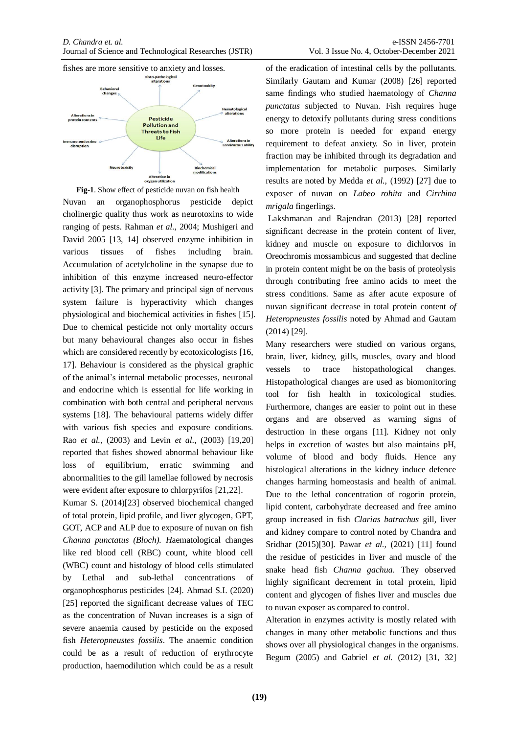

Nuvan an organophosphorus pesticide depict cholinergic quality thus work as neurotoxins to wide ranging of pests. Rahman *et al.,* 2004; Mushigeri and David 2005 [13, 14] observed enzyme inhibition in various tissues of fishes including brain. Accumulation of acetylcholine in the synapse due to inhibition of this enzyme increased neuro-effector activity [3]. The primary and principal sign of nervous system failure is hyperactivity which changes physiological and biochemical activities in fishes [15]. Due to chemical pesticide not only mortality occurs but many behavioural changes also occur in fishes which are considered recently by ecotoxicologists [16, 17]. Behaviour is considered as the physical graphic of the animal's internal metabolic processes, neuronal and endocrine which is essential for life working in combination with both central and peripheral nervous systems [18]. The behavioural patterns widely differ with various fish species and exposure conditions. Rao *et al.,* (2003) and Levin *et al*., (2003) [19,20] reported that fishes showed abnormal behaviour like loss of equilibrium, erratic swimming and abnormalities to the gill lamellae followed by necrosis were evident after exposure to chlorpyrifos [21,22].

Kumar S. (2014)[23] observed biochemical changed of total protein, lipid profile, and liver glycogen, GPT, GOT, ACP and ALP due to exposure of nuvan on fish *Channa punctatus (Bloch). H*aematological changes like red blood cell (RBC) count, white blood cell (WBC) count and histology of blood cells stimulated by Lethal and sub-lethal concentrations of organophosphorus pesticides [24]. Ahmad S.I. (2020) [25] reported the significant decrease values of TEC as the concentration of Nuvan increases is a sign of severe anaemia caused by pesticide on the exposed fish *Heteropneustes fossilis*. The anaemic condition could be as a result of reduction of erythrocyte production, haemodilution which could be as a result

of the eradication of intestinal cells by the pollutants. Similarly Gautam and Kumar (2008) [26] reported same findings who studied haematology of *Channa punctatus* subjected to Nuvan. Fish requires huge energy to detoxify pollutants during stress conditions so more protein is needed for expand energy requirement to defeat anxiety. So in liver, protein fraction may be inhibited through its degradation and implementation for metabolic purposes. Similarly results are noted by Medda *et al.,* (1992) [27] due to exposer of nuvan on *Labeo rohita* and *Cirrhina mrigala* fingerlings.

Lakshmanan and Rajendran (2013) [28] reported significant decrease in the protein content of liver, kidney and muscle on exposure to dichlorvos in Oreochromis mossambicus and suggested that decline in protein content might be on the basis of proteolysis through contributing free amino acids to meet the stress conditions. Same as after acute exposure of nuvan significant decrease in total protein content *of Heteropneustes fossilis* noted by Ahmad and Gautam (2014) [29].

Many researchers were studied on various organs, brain, liver, kidney, gills, muscles, ovary and blood vessels to trace histopathological changes. Histopathological changes are used as biomonitoring tool for fish health in toxicological studies. Furthermore, changes are easier to point out in these organs and are observed as warning signs of destruction in these organs [11]. Kidney not only helps in excretion of wastes but also maintains pH, volume of blood and body fluids. Hence any histological alterations in the kidney induce defence changes harming homeostasis and health of animal. Due to the lethal concentration of rogorin protein, lipid content, carbohydrate decreased and free amino group increased in fish *Clarias batrachus* gill, liver and kidney compare to control noted by Chandra and Sridhar (2015)[30]. Pawar *et al.,* (2021) [11] found the residue of pesticides in liver and muscle of the snake head fish *Channa gachua*. They observed highly significant decrement in total protein, lipid content and glycogen of fishes liver and muscles due to nuvan exposer as compared to control.

Alteration in enzymes activity is mostly related with changes in many other metabolic functions and thus shows over all physiological changes in the organisms. Begum (2005) and Gabriel *et al.* (2012) [31, 32]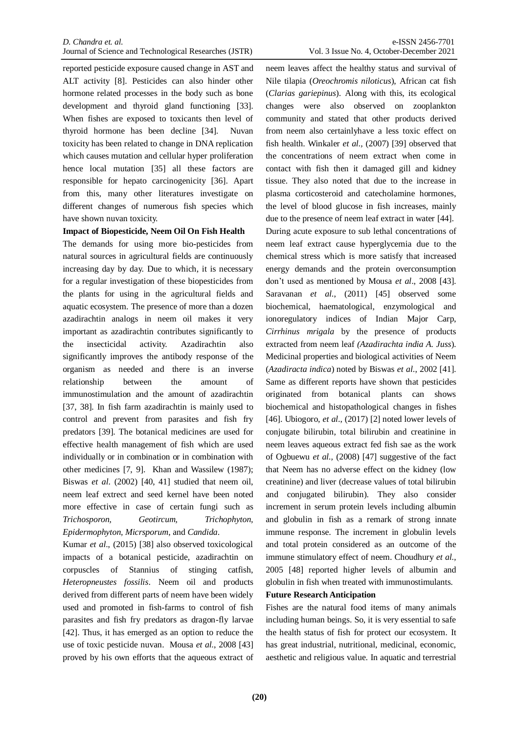reported pesticide exposure caused change in AST and ALT activity [8]. Pesticides can also hinder other hormone related processes in the body such as bone development and thyroid gland functioning [33]. When fishes are exposed to toxicants then level of thyroid hormone has been decline [34]. Nuvan toxicity has been related to change in DNA replication which causes mutation and cellular hyper proliferation hence local mutation [35] all these factors are responsible for hepato carcinogenicity [36]. Apart from this, many other literatures investigate on different changes of numerous fish species which have shown nuvan toxicity.

#### **Impact of Biopesticide, Neem Oil On Fish Health**

The demands for using more bio-pesticides from natural sources in agricultural fields are continuously increasing day by day. Due to which, it is necessary for a regular investigation of these biopesticides from the plants for using in the agricultural fields and aquatic ecosystem. The presence of more than a dozen azadirachtin analogs in neem oil makes it very important as azadirachtin contributes significantly to the insecticidal activity. Azadirachtin also significantly improves the antibody response of the organism as needed and there is an inverse relationship between the amount of immunostimulation and the amount of azadirachtin [37, 38]. In fish farm azadirachtin is mainly used to control and prevent from parasites and fish fry predators [39]. The botanical medicines are used for effective health management of fish which are used individually or in combination or in combination with other medicines [7, 9]. Khan and Wassilew (1987); Biswas *et al*. (2002) [40, 41] studied that neem oil, neem leaf extrect and seed kernel have been noted more effective in case of certain fungi such as *Trichosporon, Geotircum, Trichophyton, Epidermophyton, Micrsporum*, and *Candida*.

Kumar *et al*., (2015) [38] also observed toxicological impacts of a botanical pesticide, azadirachtin on corpuscles of Stannius of stinging catfish, *Heteropneustes fossilis*. Neem oil and products derived from different parts of neem have been widely used and promoted in fish-farms to control of fish parasites and fish fry predators as dragon-fly larvae [42]. Thus, it has emerged as an option to reduce the use of toxic pesticide nuvan. Mousa *et al.*, 2008 [43] proved by his own efforts that the aqueous extract of

neem leaves affect the healthy status and survival of Nile tilapia (*Oreochromis niloticus*), African cat fish (*Clarias gariepinus*). Along with this, its ecological changes were also observed on zooplankton community and stated that other products derived from neem also certainlyhave a less toxic effect on fish health. Winkaler *et al.,* (2007) [39] observed that the concentrations of neem extract when come in contact with fish then it damaged gill and kidney tissue. They also noted that due to the increase in plasma corticosteroid and catecholamine hormones, the level of blood glucose in fish increases, mainly due to the presence of neem leaf extract in water [44]. During acute exposure to sub lethal concentrations of neem leaf extract cause hyperglycemia due to the chemical stress which is more satisfy that increased energy demands and the protein overconsumption don't used as mentioned by Mousa *et al*., 2008 [43]. Saravanan *et al*., (2011) [45] observed some biochemical, haematological, enzymological and ionoregulatory indices of Indian Major Carp, *Cirrhinus mrigala* by the presence of products extracted from neem leaf *(Azadirachta india A. Juss*). Medicinal properties and biological activities of Neem (*Azadiracta indica*) noted by Biswas *et al*., 2002 [41]. Same as different reports have shown that pesticides originated from botanical plants can shows biochemical and histopathological changes in fishes

[46]. Ubiogoro, *et al*., (2017) [2] noted lower levels of conjugate bilirubin, total bilirubin and creatinine in neem leaves aqueous extract fed fish sae as the work of Ogbuewu *et al.,* (2008) [47] suggestive of the fact that Neem has no adverse effect on the kidney (low creatinine) and liver (decrease values of total bilirubin and conjugated bilirubin). They also consider increment in serum protein levels including albumin and globulin in fish as a remark of strong innate immune response. The increment in globulin levels and total protein considered as an outcome of the immune stimulatory effect of neem. Choudhury *et al.,* 2005 [48] reported higher levels of albumin and globulin in fish when treated with immunostimulants.

#### **Future Research Anticipation**

Fishes are the natural food items of many animals including human beings. So, it is very essential to safe the health status of fish for protect our ecosystem. It has great industrial, nutritional, medicinal, economic, aesthetic and religious value. In aquatic and terrestrial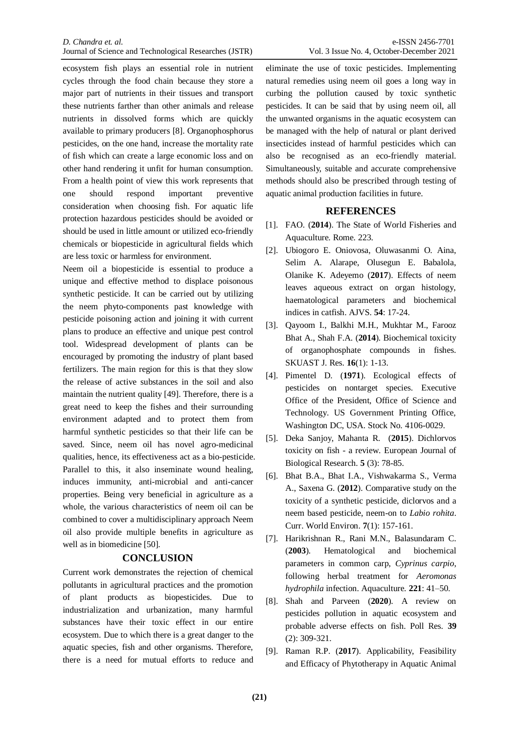ecosystem fish plays an essential role in nutrient cycles through the food chain because they store a major part of nutrients in their tissues and transport these nutrients farther than other animals and release nutrients in dissolved forms which are quickly available to primary producers [8]. Organophosphorus pesticides, on the one hand, increase the mortality rate of fish which can create a large economic loss and on other hand rendering it unfit for human consumption. From a health point of view this work represents that one should respond important preventive consideration when choosing fish. For aquatic life protection hazardous pesticides should be avoided or should be used in little amount or utilized eco-friendly chemicals or biopesticide in agricultural fields which are less toxic or harmless for environment.

Neem oil a biopesticide is essential to produce a unique and effective method to displace poisonous synthetic pesticide. It can be carried out by utilizing the neem phyto-components past knowledge with pesticide poisoning action and joining it with current plans to produce an effective and unique pest control tool. Widespread development of plants can be encouraged by promoting the industry of plant based fertilizers. The main region for this is that they slow the release of active substances in the soil and also maintain the nutrient quality [49]. Therefore, there is a great need to keep the fishes and their surrounding environment adapted and to protect them from harmful synthetic pesticides so that their life can be saved. Since, neem oil has novel agro-medicinal qualities, hence, its effectiveness act as a bio-pesticide. Parallel to this, it also inseminate wound healing, induces immunity, anti-microbial and anti-cancer properties. Being very beneficial in agriculture as a whole, the various characteristics of neem oil can be combined to cover a multidisciplinary approach Neem oil also provide multiple benefits in agriculture as well as in biomedicine [50].

### **CONCLUSION**

Current work demonstrates the rejection of chemical pollutants in agricultural practices and the promotion of plant products as biopesticides. Due to industrialization and urbanization, many harmful substances have their toxic effect in our entire ecosystem. Due to which there is a great danger to the aquatic species, fish and other organisms. Therefore, there is a need for mutual efforts to reduce and eliminate the use of toxic pesticides. Implementing natural remedies using neem oil goes a long way in curbing the pollution caused by toxic synthetic pesticides. It can be said that by using neem oil, all the unwanted organisms in the aquatic ecosystem can be managed with the help of natural or plant derived insecticides instead of harmful pesticides which can also be recognised as an eco-friendly material. Simultaneously, suitable and accurate comprehensive methods should also be prescribed through testing of aquatic animal production facilities in future.

#### **REFERENCES**

- [1]. FAO. (**2014**). The State of World Fisheries and Aquaculture. Rome. 223.
- [2]. Ubiogoro E. Oniovosa, Oluwasanmi O. Aina, Selim A. Alarape, Olusegun E. Babalola, Olanike K. Adeyemo (**2017**). Effects of neem leaves aqueous extract on organ histology, haematological parameters and biochemical indices in catfish. AJVS. **54**: 17-24.
- [3]. Qayoom I., Balkhi M.H., Mukhtar M., Farooz Bhat A., Shah F.A. (**2014**). Biochemical toxicity of organophosphate compounds in fishes. SKUAST J. Res. **16**(1): 1-13.
- [4]. Pimentel D. (**1971**). Ecological effects of pesticides on nontarget species. Executive Office of the President, Office of Science and Technology. US Government Printing Office, Washington DC, USA. Stock No. 4106-0029.
- [5]. Deka Sanjoy, Mahanta R. (**2015**). Dichlorvos toxicity on fish - a review. European Journal of Biological Research. **5** (3): 78-85.
- [6]. Bhat B.A., Bhat I.A., Vishwakarma S., Verma A., Saxena G. (**2012**). Comparative study on the toxicity of a synthetic pesticide, diclorvos and a neem based pesticide, neem-on to *Labio rohita*. Curr. World Environ. **7**(1): 157-161.
- [7]. Harikrishnan R., Rani M.N., Balasundaram C. (**2003**). Hematological and biochemical parameters in common carp, *Cyprinus carpio*, following herbal treatment for *Aeromonas hydrophila* infection. Aquaculture. **221**: 41–50.
- [8]. Shah and Parveen (**2020**). A review on pesticides pollution in aquatic ecosystem and probable adverse effects on fish. Poll Res. **39** (2): 309-321.
- [9]. Raman R.P. (**2017**). Applicability, Feasibility and Efficacy of Phytotherapy in Aquatic Animal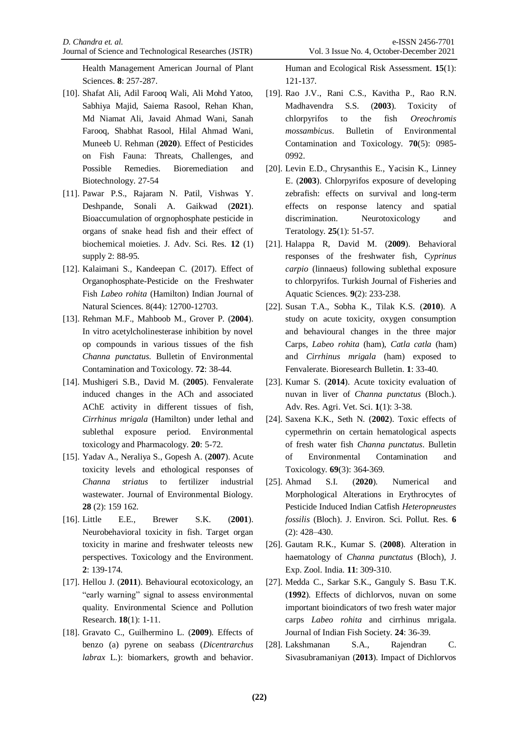Health Management American Journal of Plant Sciences. **8**: 257-287.

- [10]. Shafat Ali, Adil Farooq Wali, Ali Mohd Yatoo, Sabhiya Majid, Saiema Rasool, Rehan Khan, Md Niamat Ali, Javaid Ahmad Wani, Sanah Farooq, Shabhat Rasool, Hilal Ahmad Wani, Muneeb U. Rehman (**2020**). Effect of Pesticides on Fish Fauna: Threats, Challenges, and Possible Remedies. Bioremediation and Biotechnology. 27-54
- [11]. Pawar P.S., Rajaram N. Patil, Vishwas Y. Deshpande, Sonali A. Gaikwad (**2021**). Bioaccumulation of orgnophosphate pesticide in organs of snake head fish and their effect of biochemical moieties. J. Adv. Sci. Res. **12** (1) supply 2: 88-95.
- [12]. Kalaimani S., Kandeepan C. (2017). Effect of Organophosphate-Pesticide on the Freshwater Fish *Labeo rohita* (Hamilton) Indian Journal of Natural Sciences. 8(44): 12700-12703.
- [13]. Rehman M.F., Mahboob M., Grover P. (**2004**). In vitro acetylcholinesterase inhibition by novel op compounds in various tissues of the fish *Channa punctatus*. Bulletin of Environmental Contamination and Toxicology. **72**: 38-44.
- [14]. Mushigeri S.B., David M. (**2005**). Fenvalerate induced changes in the ACh and associated AChE activity in different tissues of fish, *Cirrhinus mrigala* (Hamilton) under lethal and sublethal exposure period. Environmental toxicology and Pharmacology. **20**: 5-72.
- [15]. Yadav A., Neraliya S., Gopesh A. (**2007**). Acute toxicity levels and ethological responses of *Channa striatus* to fertilizer industrial wastewater. Journal of Environmental Biology. **28** (2): 159 162.
- [16]. Little E.E., Brewer S.K. (**2001**). Neurobehavioral toxicity in fish. Target organ toxicity in marine and freshwater teleosts new perspectives. Toxicology and the Environment. **2**: 139-174.
- [17]. Hellou J. (**2011**). Behavioural ecotoxicology, an "early warning" signal to assess environmental quality. Environmental Science and Pollution Research. **18**(1): 1-11.
- [18]. Gravato C., Guilhermino L. (**2009**). Effects of benzo (a) pyrene on seabass (*Dicentrarchus labrax* L.): biomarkers, growth and behavior.

Human and Ecological Risk Assessment. **15**(1): 121-137.

- [19]. Rao J.V., Rani C.S., Kavitha P., Rao R.N. Madhavendra S.S. (**2003**). Toxicity of chlorpyrifos to the fish *Oreochromis mossambicus*. Bulletin of Environmental Contamination and Toxicology. **70**(5): 0985- 0992.
- [20]. Levin E.D., Chrysanthis E., Yacisin K., Linney E. (**2003**). Chlorpyrifos exposure of developing zebrafish: effects on survival and long-term effects on response latency and spatial discrimination. Neurotoxicology and Teratology. **25**(1): 51-57.
- [21]. Halappa R, David M. (**2009**). Behavioral responses of the freshwater fish, C*yprinus carpio* (linnaeus) following sublethal exposure to chlorpyrifos. Turkish Journal of Fisheries and Aquatic Sciences. **9**(2): 233-238.
- [22]. Susan T.A., Sobha K., Tilak K.S. (**2010**). A study on acute toxicity, oxygen consumption and behavioural changes in the three major Carps, *Labeo rohita* (ham), *Catla catla* (ham) and *Cirrhinus mrigala* (ham) exposed to Fenvalerate. Bioresearch Bulletin. **1**: 33-40.
- [23]. Kumar S. (**2014**). Acute toxicity evaluation of nuvan in liver of *Channa punctatus* (Bloch.). Adv. Res. Agri. Vet. Sci. **1**(1): 3-38.
- [24]. Saxena K.K., Seth N. (**2002**). Toxic effects of cypermethrin on certain hematological aspects of fresh water fish *Channa punctatus*. Bulletin of Environmental Contamination and Toxicology. **69**(3): 364-369.
- [25]. Ahmad S.I. (**2020**). Numerical and Morphological Alterations in Erythrocytes of Pesticide Induced Indian Catfish *Heteropneustes fossilis* (Bloch). J. Environ. Sci. Pollut. Res. **6** (2): 428–430.
- [26]. Gautam R.K., Kumar S. (**2008**). Alteration in haematology of *Channa punctatus* (Bloch), J. Exp. Zool. India. **11**: 309-310.
- [27]. Medda C., Sarkar S.K., Ganguly S. Basu T.K. (**1992**). Effects of dichlorvos, nuvan on some important bioindicators of two fresh water major carps *Labeo rohita* and cirrhinus mrigala. Journal of Indian Fish Society. **24**: 36-39.
- [28]. Lakshmanan S.A., Rajendran C. Sivasubramaniyan (**2013**). Impact of Dichlorvos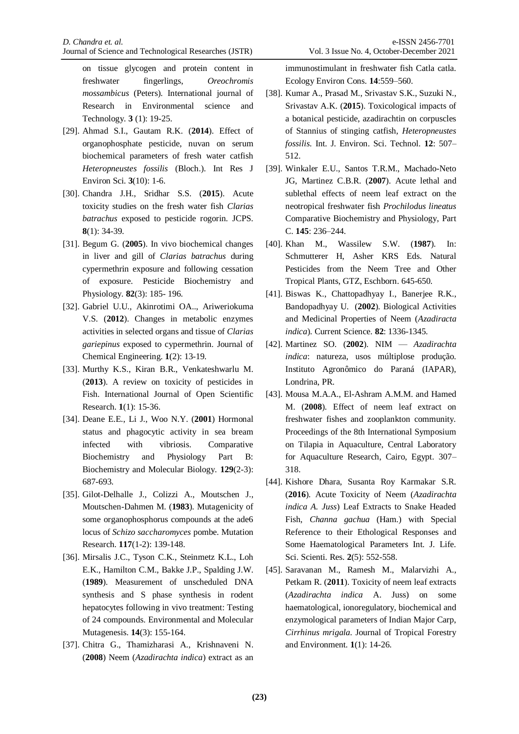on tissue glycogen and protein content in freshwater fingerlings, *Oreochromis mossambicus* (Peters). International journal of Research in Environmental science and Technology. **3** (1): 19-25.

- [29]. Ahmad S.I., Gautam R.K. (**2014**). Effect of organophosphate pesticide, nuvan on serum biochemical parameters of fresh water catfish *Heteropneustes fossilis* (Bloch.). Int Res J Environ Sci. **3**(10): 1-6.
- [30]. Chandra J.H., Sridhar S.S. (**2015**). Acute toxicity studies on the fresh water fish *Clarias batrachus* exposed to pesticide rogorin. JCPS. **8**(1): 34-39.
- [31]. Begum G. (**2005**). In vivo biochemical changes in liver and gill of *Clarias batrachus* during cypermethrin exposure and following cessation of exposure. Pesticide Biochemistry and Physiology. **82**(3): 185- 196.
- [32]. Gabriel U.U., Akinrotimi OA.., Ariweriokuma V.S. (**2012**). Changes in metabolic enzymes activities in selected organs and tissue of *Clarias gariepinus* exposed to cypermethrin. Journal of Chemical Engineering. **1**(2): 13-19.
- [33]. Murthy K.S., Kiran B.R., Venkateshwarlu M. (**2013**). A review on toxicity of pesticides in Fish. International Journal of Open Scientific Research. **1**(1): 15-36.
- [34]. Deane E.E., Li J., Woo N.Y. (**2001**) Hormonal status and phagocytic activity in sea bream infected with vibriosis. Comparative Biochemistry and Physiology Part B: Biochemistry and Molecular Biology. **129**(2-3): 687-693.
- [35]. Gilot-Delhalle J., Colizzi A., Moutschen J., Moutschen-Dahmen M. (**1983**). Mutagenicity of some organophosphorus compounds at the ade6 locus of *Schizo saccharomyces* pombe. Mutation Research. **117**(1-2): 139-148.
- [36]. Mirsalis J.C., Tyson C.K., Steinmetz K.L., Loh E.K., Hamilton C.M., Bakke J.P., Spalding J.W. (**1989**). Measurement of unscheduled DNA synthesis and S phase synthesis in rodent hepatocytes following in vivo treatment: Testing of 24 compounds. Environmental and Molecular Mutagenesis. **14**(3): 155-164.
- [37]. Chitra G., Thamizharasi A., Krishnaveni N. (**2008**) Neem (*Azadirachta indica*) extract as an

immunostimulant in freshwater fish Catla catla. Ecology Environ Cons. **14**:559–560.

- [38]. Kumar A., Prasad M., Srivastav S.K., Suzuki N., Srivastav A.K. (**2015**). Toxicological impacts of a botanical pesticide, azadirachtin on corpuscles of Stannius of stinging catfish, *Heteropneustes fossilis*. Int. J. Environ. Sci. Technol. **12**: 507– 512.
- [39]. Winkaler E.U., Santos T.R.M., Machado-Neto JG, Martinez C.B.R. (**2007**). Acute lethal and sublethal effects of neem leaf extract on the neotropical freshwater fish *Prochilodus lineatus* Comparative Biochemistry and Physiology, Part C. **145**: 236–244.
- [40]. Khan M., Wassilew S.W. (**1987**). In: Schmutterer H, Asher KRS Eds. Natural Pesticides from the Neem Tree and Other Tropical Plants, GTZ, Eschborn. 645-650.
- [41]. Biswas K., Chattopadhyay I., Banerjee R.K., Bandopadhyay U. (**2002**). Biological Activities and Medicinal Properties of Neem (*Azadiracta indica*). Current Science. **82**: 1336-1345.
- [42]. Martinez SO. (**2002**). NIM *Azadirachta indica*: natureza, usos múltiplose produção. Instituto Agronômico do Paraná (IAPAR), Londrina, PR.
- [43]. Mousa M.A.A., El-Ashram A.M.M. and Hamed M. (**2008**). Effect of neem leaf extract on freshwater fishes and zooplankton community. Proceedings of the 8th International Symposium on Tilapia in Aquaculture, Central Laboratory for Aquaculture Research, Cairo, Egypt. 307– 318.
- [44]. Kishore Dhara, Susanta Roy Karmakar S.R. (**2016**). Acute Toxicity of Neem (*Azadirachta indica A. Juss*) Leaf Extracts to Snake Headed Fish, *Channa gachua* (Ham.) with Special Reference to their Ethological Responses and Some Haematological Parameters Int. J. Life. Sci. Scienti. Res. **2**(5): 552-558.
- [45]. Saravanan M., Ramesh M., Malarvizhi A., Petkam R. (**2011**). Toxicity of neem leaf extracts (*Azadirachta indica* A. Juss) on some haematological, ionoregulatory, biochemical and enzymological parameters of Indian Major Carp, *Cirrhinus mrigala*. Journal of Tropical Forestry and Environment. **1**(1): 14-26.